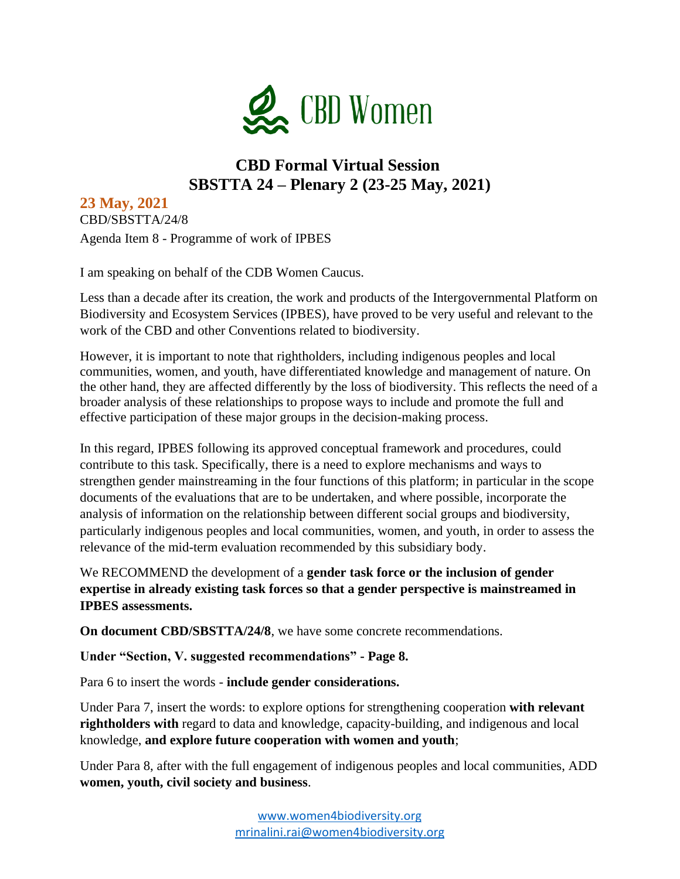

## **CBD Formal Virtual Session SBSTTA 24 – Plenary 2 (23-25 May, 2021)**

**23 May, 2021**  CBD/SBSTTA/24/8 Agenda Item 8 - Programme of work of IPBES

I am speaking on behalf of the CDB Women Caucus.

Less than a decade after its creation, the work and products of the Intergovernmental Platform on Biodiversity and Ecosystem Services (IPBES), have proved to be very useful and relevant to the work of the CBD and other Conventions related to biodiversity.

However, it is important to note that rightholders, including indigenous peoples and local communities, women, and youth, have differentiated knowledge and management of nature. On the other hand, they are affected differently by the loss of biodiversity. This reflects the need of a broader analysis of these relationships to propose ways to include and promote the full and effective participation of these major groups in the decision-making process.

In this regard, IPBES following its approved conceptual framework and procedures, could contribute to this task. Specifically, there is a need to explore mechanisms and ways to strengthen gender mainstreaming in the four functions of this platform; in particular in the scope documents of the evaluations that are to be undertaken, and where possible, incorporate the analysis of information on the relationship between different social groups and biodiversity, particularly indigenous peoples and local communities, women, and youth, in order to assess the relevance of the mid-term evaluation recommended by this subsidiary body.

We RECOMMEND the development of a **gender task force or the inclusion of gender expertise in already existing task forces so that a gender perspective is mainstreamed in IPBES assessments.**

**On document CBD/SBSTTA/24/8**, we have some concrete recommendations.

**Under "Section, V. suggested recommendations" - Page 8.**

Para 6 to insert the words - **include gender considerations.**

Under Para 7, insert the words: to explore options for strengthening cooperation **with relevant rightholders with** regard to data and knowledge, capacity-building, and indigenous and local knowledge, **and explore future cooperation with women and youth**;

Under Para 8, after with the full engagement of indigenous peoples and local communities, ADD **women, youth, civil society and business**.